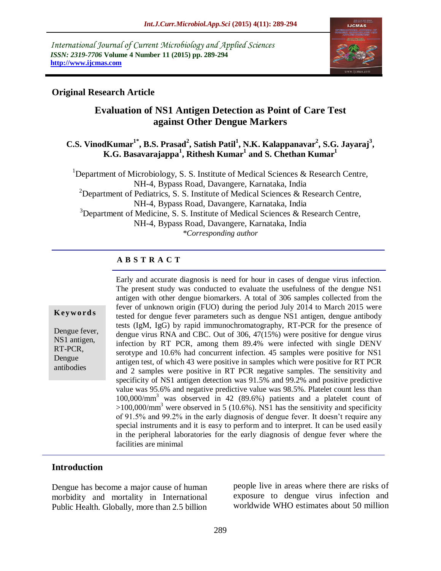*International Journal of Current Microbiology and Applied Sciences ISSN: 2319-7706* **Volume 4 Number 11 (2015) pp. 289-294 http://www.ijcmas.com** 



## **Original Research Article**

# **Evaluation of NS1 Antigen Detection as Point of Care Test against Other Dengue Markers**

## **C.S. VinodKumar1\* , B.S. Prasad<sup>2</sup> , Satish Patil<sup>1</sup> , N.K. Kalappanavar<sup>2</sup> , S.G. Jayaraj<sup>3</sup> , K.G. Basavarajappa<sup>1</sup> , Rithesh Kumar<sup>1</sup> and S. Chethan Kumar<sup>1</sup>**

<sup>1</sup>Department of Microbiology, S. S. Institute of Medical Sciences & Research Centre, NH-4, Bypass Road, Davangere, Karnataka, India <sup>2</sup>Department of Pediatrics, S. S. Institute of Medical Sciences & Research Centre, NH-4, Bypass Road, Davangere, Karnataka, India <sup>3</sup>Department of Medicine, S. S. Institute of Medical Sciences  $\&$  Research Centre, NH-4, Bypass Road, Davangere, Karnataka, India *\*Corresponding author*

#### **A B S T R A C T**

#### **K ey w o rd s**

Dengue fever, NS1 antigen, RT-PCR, Dengue antibodies

Early and accurate diagnosis is need for hour in cases of dengue virus infection. The present study was conducted to evaluate the usefulness of the dengue NS1 antigen with other dengue biomarkers. A total of 306 samples collected from the fever of unknown origin (FUO) during the period July 2014 to March 2015 were tested for dengue fever parameters such as dengue NS1 antigen, dengue antibody tests (IgM, IgG) by rapid immunochromatography, RT-PCR for the presence of dengue virus RNA and CBC. Out of 306, 47(15%) were positive for dengue virus infection by RT PCR, among them 89.4% were infected with single DENV serotype and 10.6% had concurrent infection. 45 samples were positive for NS1 antigen test, of which 43 were positive in samples which were positive for RT PCR and 2 samples were positive in RT PCR negative samples. The sensitivity and specificity of NS1 antigen detection was 91.5% and 99.2% and positive predictive value was 95.6% and negative predictive value was 98.5%. Platelet count less than 100,000/mm <sup>3</sup> was observed in 42 (89.6%) patients and a platelet count of  $>100,000/\text{mm}^3$  were observed in 5 (10.6%). NS1 has the sensitivity and specificity of 91.5% and 99.2% in the early diagnosis of dengue fever. It doesn't require any special instruments and it is easy to perform and to interpret. It can be used easily in the peripheral laboratories for the early diagnosis of dengue fever where the facilities are minimal

#### **Introduction**

Dengue has become a major cause of human morbidity and mortality in International Public Health. Globally, more than 2.5 billion people live in areas where there are risks of exposure to dengue virus infection and worldwide WHO estimates about 50 million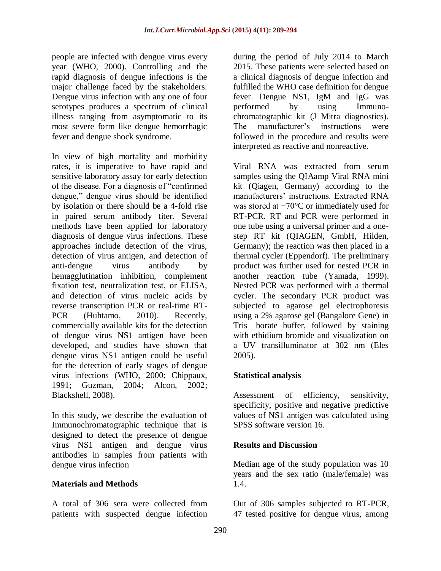people are infected with dengue virus every year (WHO, 2000). Controlling and the rapid diagnosis of dengue infections is the major challenge faced by the stakeholders. Dengue virus infection with any one of four serotypes produces a spectrum of clinical illness ranging from asymptomatic to its most severe form like dengue hemorrhagic fever and dengue shock syndrome.

In view of high mortality and morbidity rates, it is imperative to have rapid and sensitive laboratory assay for early detection of the disease. For a diagnosis of "confirmed" dengue," dengue virus should be identified by isolation or there should be a 4-fold rise in paired serum antibody titer. Several methods have been applied for laboratory diagnosis of dengue virus infections. These approaches include detection of the virus, detection of virus antigen, and detection of anti-dengue virus antibody by hemagglutination inhibition, complement fixation test, neutralization test, or ELISA, and detection of virus nucleic acids by reverse transcription PCR or real-time RT-PCR (Huhtamo, 2010). Recently, commercially available kits for the detection of dengue virus NS1 antigen have been developed, and studies have shown that dengue virus NS1 antigen could be useful for the detection of early stages of dengue virus infections (WHO, 2000; Chippaux, 1991; Guzman, 2004; Alcon, 2002; Blackshell, 2008).

In this study, we describe the evaluation of Immunochromatographic technique that is designed to detect the presence of dengue virus NS1 antigen and dengue virus antibodies in samples from patients with dengue virus infection

#### **Materials and Methods**

A total of 306 sera were collected from patients with suspected dengue infection

during the period of July 2014 to March 2015. These patients were selected based on a clinical diagnosis of dengue infection and fulfilled the WHO case definition for dengue fever. Dengue NS1, IgM and IgG was performed by using Immunochromatographic kit (J Mitra diagnostics). The manufacturer's instructions were followed in the procedure and results were interpreted as reactive and nonreactive.

Viral RNA was extracted from serum samples using the QIAamp Viral RNA mini kit (Qiagen, Germany) according to the manufacturers' instructions. Extracted RNA was stored at −70°C or immediately used for RT-PCR. RT and PCR were performed in one tube using a universal primer and a onestep RT kit (QIAGEN, GmbH, Hilden, Germany); the reaction was then placed in a thermal cycler (Eppendorf). The preliminary product was further used for nested PCR in another reaction tube (Yamada, 1999). Nested PCR was performed with a thermal cycler. The secondary PCR product was subjected to agarose gel electrophoresis using a 2% agarose gel (Bangalore Gene) in Tris—borate buffer, followed by staining with ethidium bromide and visualization on a UV transilluminator at 302 nm (Eles 2005).

#### **Statistical analysis**

Assessment of efficiency, sensitivity, specificity, positive and negative predictive values of NS1 antigen was calculated using SPSS software version 16.

#### **Results and Discussion**

Median age of the study population was 10 years and the sex ratio (male/female) was 1.4.

Out of 306 samples subjected to RT-PCR, 47 tested positive for dengue virus, among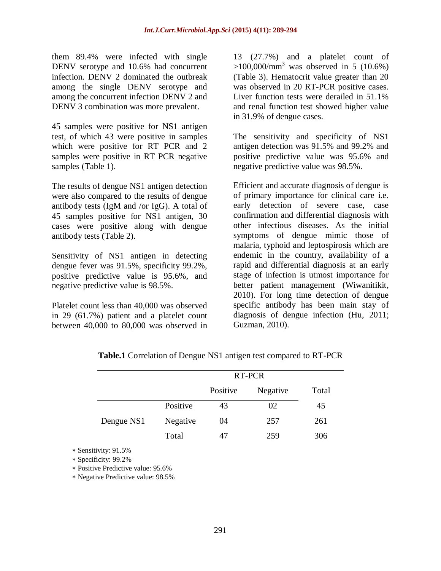them 89.4% were infected with single DENV serotype and 10.6% had concurrent infection. DENV 2 dominated the outbreak among the single DENV serotype and among the concurrent infection DENV 2 and DENV 3 combination was more prevalent.

45 samples were positive for NS1 antigen test, of which 43 were positive in samples which were positive for RT PCR and 2 samples were positive in RT PCR negative samples (Table 1).

The results of dengue NS1 antigen detection were also compared to the results of dengue antibody tests (IgM and /or IgG). A total of 45 samples positive for NS1 antigen, 30 cases were positive along with dengue antibody tests (Table 2).

Sensitivity of NS1 antigen in detecting dengue fever was 91.5%, specificity 99.2%, positive predictive value is 95.6%, and negative predictive value is 98.5%.

Platelet count less than 40,000 was observed in 29 (61.7%) patient and a platelet count between 40,000 to 80,000 was observed in 13 (27.7%) and a platelet count of  $>100,000/\text{mm}^3$  was observed in 5 (10.6%) (Table 3). Hematocrit value greater than 20 was observed in 20 RT-PCR positive cases. Liver function tests were derailed in 51.1% and renal function test showed higher value in 31.9% of dengue cases.

The sensitivity and specificity of NS1 antigen detection was 91.5% and 99.2% and positive predictive value was 95.6% and negative predictive value was 98.5%.

Efficient and accurate diagnosis of dengue is of primary importance for clinical care i.e. early detection of severe case, case confirmation and differential diagnosis with other infectious diseases. As the initial symptoms of dengue mimic those of malaria, typhoid and leptospirosis which are endemic in the country, availability of a rapid and differential diagnosis at an early stage of infection is utmost importance for better patient management (Wiwanitikit, 2010). For long time detection of dengue specific antibody has been main stay of diagnosis of dengue infection (Hu, 2011; Guzman, 2010).

|            |          | RT-PCR   |          |       |
|------------|----------|----------|----------|-------|
|            |          | Positive | Negative | Total |
| Dengue NS1 | Positive | 43       | 02       | 45    |
|            | Negative | 04       | 257      | 261   |
|            | Total    | 47       | 259      | 306   |

**Table.1** Correlation of Dengue NS1 antigen test compared to RT-PCR

Sensitivity: 91.5%

Specificity: 99.2%

Positive Predictive value: 95.6%

Negative Predictive value: 98.5%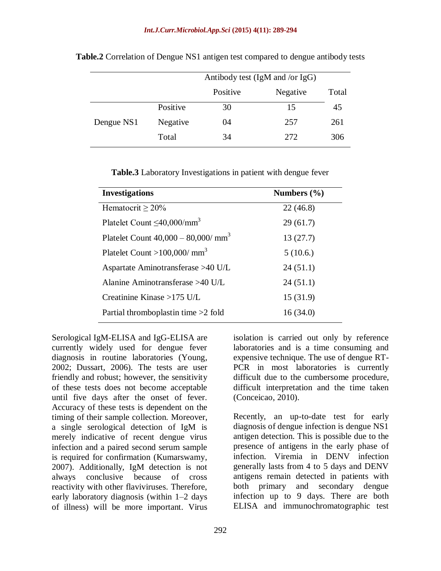|            |          | Antibody test (IgM and /or IgG) |          |       |
|------------|----------|---------------------------------|----------|-------|
|            |          | Positive                        | Negative | Total |
| Dengue NS1 | Positive | 30                              | 15       | 45    |
|            | Negative | 04                              | 257      | 261   |
|            | Total    | 34                              | 2.72     | 306   |

**Table.2** Correlation of Dengue NS1 antigen test compared to dengue antibody tests

**Table.3** Laboratory Investigations in patient with dengue fever

| <b>Investigations</b>                          | Numbers $(\% )$ |
|------------------------------------------------|-----------------|
| Hematocrit $\geq 20\%$                         | 22(46.8)        |
| Platelet Count $\leq$ 40,000/mm <sup>3</sup>   | 29(61.7)        |
| Platelet Count $40,000 - 80,000 / \text{mm}^3$ | 13(27.7)        |
| Platelet Count >100,000/ $\text{mm}^3$         | 5(10.6.)        |
| Aspartate Aminotransferase >40 U/L             | 24(51.1)        |
| Alanine Aminotransferase >40 U/L               | 24(51.1)        |
| Creatinine Kinase $>175$ U/L                   | 15(31.9)        |
| Partial thromboplastin time $>2$ fold          | 16(34.0)        |

Serological IgM-ELISA and IgG-ELISA are currently widely used for dengue fever diagnosis in routine laboratories (Young, 2002; Dussart, 2006). The tests are user friendly and robust; however, the sensitivity of these tests does not become acceptable until five days after the onset of fever. Accuracy of these tests is dependent on the timing of their sample collection. Moreover, a single serological detection of IgM is merely indicative of recent dengue virus infection and a paired second serum sample is required for confirmation (Kumarswamy, 2007). Additionally, IgM detection is not always conclusive because of cross reactivity with other flaviviruses. Therefore, early laboratory diagnosis (within 1–2 days of illness) will be more important. Virus

isolation is carried out only by reference laboratories and is a time consuming and expensive technique. The use of dengue RT-PCR in most laboratories is currently difficult due to the cumbersome procedure, difficult interpretation and the time taken (Conceicao, 2010).

Recently, an up-to-date test for early diagnosis of dengue infection is dengue NS1 antigen detection. This is possible due to the presence of antigens in the early phase of infection. Viremia in DENV infection generally lasts from 4 to 5 days and DENV antigens remain detected in patients with both primary and secondary dengue infection up to 9 days. There are both ELISA and immunochromatographic test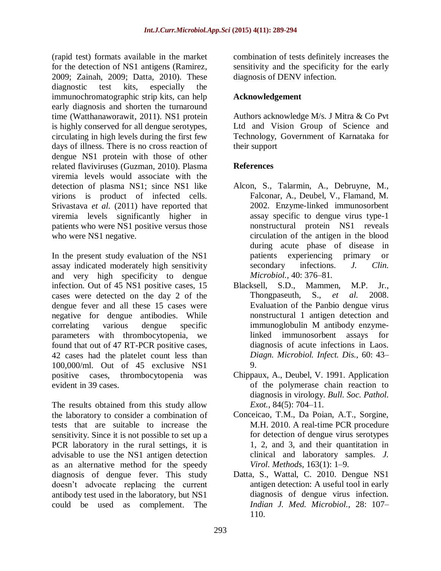(rapid test) formats available in the market for the detection of NS1 antigens (Ramirez, 2009; Zainah, 2009; Datta, 2010). These diagnostic test kits, especially the immunochromatographic strip kits, can help early diagnosis and shorten the turnaround time (Watthanaworawit, 2011). NS1 protein is highly conserved for all dengue serotypes, circulating in high levels during the first few days of illness. There is no cross reaction of dengue NS1 protein with those of other related flaviviruses (Guzman, 2010). Plasma viremia levels would associate with the detection of plasma NS1; since NS1 like virions is product of infected cells. Srivastava *et al.* (2011) have reported that viremia levels significantly higher in patients who were NS1 positive versus those who were NS1 negative.

In the present study evaluation of the NS1 assay indicated moderately high sensitivity and very high specificity to dengue infection. Out of 45 NS1 positive cases, 15 cases were detected on the day 2 of the dengue fever and all these 15 cases were negative for dengue antibodies. While correlating various dengue specific parameters with thrombocytopenia, we found that out of 47 RT-PCR positive cases, 42 cases had the platelet count less than 100,000/ml. Out of 45 exclusive NS1 positive cases, thrombocytopenia was evident in 39 cases.

The results obtained from this study allow the laboratory to consider a combination of tests that are suitable to increase the sensitivity. Since it is not possible to set up a PCR laboratory in the rural settings, it is advisable to use the NS1 antigen detection as an alternative method for the speedy diagnosis of dengue fever. This study doesn't advocate replacing the current antibody test used in the laboratory, but NS1 could be used as complement. The

combination of tests definitely increases the sensitivity and the specificity for the early diagnosis of DENV infection.

# **Acknowledgement**

Authors acknowledge M/s. J Mitra & Co Pvt Ltd and Vision Group of Science and Technology, Government of Karnataka for their support

# **References**

- Alcon, S., Talarmin, A., Debruyne, M., Falconar, A., Deubel, V., Flamand, M. 2002. Enzyme-linked immunosorbent assay specific to dengue virus type-1 nonstructural protein NS1 reveals circulation of the antigen in the blood during acute phase of disease in patients experiencing primary or secondary infections. *J. Clin. Microbiol.,* 40: 376–81.
- Blacksell, S.D., Mammen, M.P. Jr., Thongpaseuth, S., *et al.* 2008. Evaluation of the Panbio dengue virus nonstructural 1 antigen detection and immunoglobulin M antibody enzymelinked immunosorbent assays for diagnosis of acute infections in Laos. *Diagn. Microbiol. Infect. Dis.,* 60: 43– 9.
- Chippaux, A., Deubel, V. 1991. Application of the polymerase chain reaction to diagnosis in virology. *Bull. Soc. Pathol. Exot.,* 84(5): 704–11.
- Conceicao, T.M., Da Poian, A.T., Sorgine, M.H. 2010. A real-time PCR procedure for detection of dengue virus serotypes 1, 2, and 3, and their quantitation in clinical and laboratory samples. *J. Virol. Methods,* 163(1): 1–9.
- Datta, S., Wattal, C. 2010. Dengue NS1 antigen detection: A useful tool in early diagnosis of dengue virus infection. *Indian J. Med. Microbiol.,* 28: 107– 110.